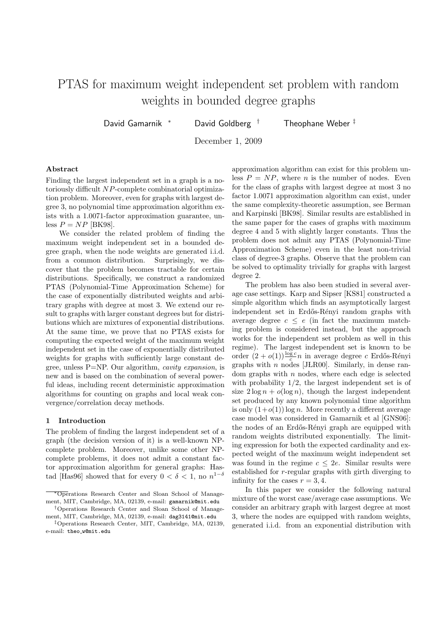# PTAS for maximum weight independent set problem with random weights in bounded degree graphs

David Gamarnik <sup>∗</sup> David Goldberg † Theophane Weber ‡

December 1, 2009

# Abstract

Finding the largest independent set in a graph is a notoriously difficult NP-complete combinatorial optimization problem. Moreover, even for graphs with largest degree 3, no polynomial time approximation algorithm exists with a 1.0071-factor approximation guarantee, unless  $P = NP$  [BK98].

We consider the related problem of finding the maximum weight independent set in a bounded degree graph, when the node weights are generated i.i.d. from a common distribution. Surprisingly, we discover that the problem becomes tractable for certain distributions. Specifically, we construct a randomized PTAS (Polynomial-Time Approximation Scheme) for the case of exponentially distributed weights and arbitrary graphs with degree at most 3. We extend our result to graphs with larger constant degrees but for distributions which are mixtures of exponential distributions. At the same time, we prove that no PTAS exists for computing the expected weight of the maximum weight independent set in the case of exponentially distributed weights for graphs with sufficiently large constant degree, unless P=NP. Our algorithm, *cavity expansion*, is new and is based on the combination of several powerful ideas, including recent deterministic approximation algorithms for counting on graphs and local weak convergence/correlation decay methods.

## 1 Introduction

The problem of finding the largest independent set of a graph (the decision version of it) is a well-known NPcomplete problem. Moreover, unlike some other NPcomplete problems, it does not admit a constant factor approximation algorithm for general graphs: Hastad [Has96] showed that for every  $0 < \delta < 1$ , no  $n^{1-\delta}$ 

approximation algorithm can exist for this problem unless  $P = NP$ , where *n* is the number of nodes. Even for the class of graphs with largest degree at most 3 no factor 1.0071 approximation algorithm can exist, under the same complexity-theoretic assumption, see Berman and Karpinski [BK98]. Similar results are established in the same paper for the cases of graphs with maximum degree 4 and 5 with slightly larger constants. Thus the problem does not admit any PTAS (Polynomial-Time Approximation Scheme) even in the least non-trivial class of degree-3 graphs. Observe that the problem can be solved to optimality trivially for graphs with largest degree 2.

The problem has also been studied in several average case settings. Karp and Sipser [KS81] constructed a simple algorithm which finds an asymptotically largest independent set in Erdős-Rényi random graphs with average degree  $c \leq e$  (in fact the maximum matching problem is considered instead, but the approach works for the independent set problem as well in this regime). The largest independent set is known to be order  $(2+o(1))\frac{\log c}{c}n$  in average degree c Erdős-Rényi graphs with  $n$  nodes [JLR00]. Similarly, in dense random graphs with  $n$  nodes, where each edge is selected with probability  $1/2$ , the largest independent set is of size  $2\log n + o(\log n)$ , though the largest independent set produced by any known polynomial time algorithm is only  $(1+o(1))\log n$ . More recently a different average case model was considered in Gamarnik et al [GNS06]: the nodes of an Erdős-Rényi graph are equipped with random weights distributed exponentially. The limiting expression for both the expected cardinality and expected weight of the maximum weight independent set was found in the regime  $c \leq 2e$ . Similar results were established for r-regular graphs with girth diverging to infinity for the cases  $r = 3, 4$ .

In this paper we consider the following natural mixture of the worst case/average case assumptions. We consider an arbitrary graph with largest degree at most 3, where the nodes are equipped with random weights, generated i.i.d. from an exponential distribution with

<sup>∗</sup>Operations Research Center and Sloan School of Management, MIT, Cambridge, MA, 02139, e-mail: gamarnik@mit.edu †Operations Research Center and Sloan School of Manage-

ment, MIT, Cambridge, MA, 02139, e-mail: dag3141@mit.edu

<sup>‡</sup>Operations Research Center, MIT, Cambridge, MA, 02139, e-mail: theo w@mit.edu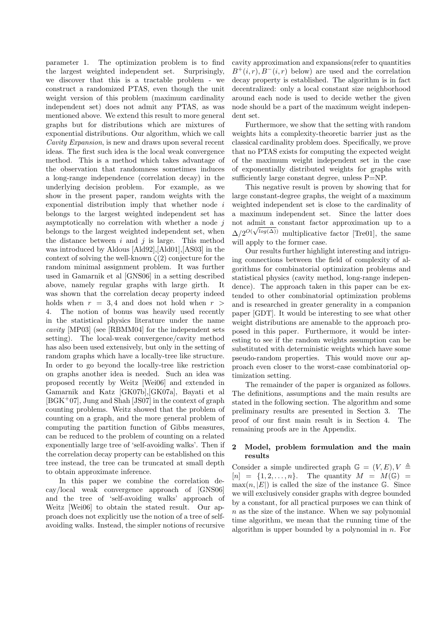parameter 1. The optimization problem is to find the largest weighted independent set. Surprisingly, we discover that this is a tractable problem - we construct a randomized PTAS, even though the unit weight version of this problem (maximum cardinality independent set) does not admit any PTAS, as was mentioned above. We extend this result to more general graphs but for distributions which are mixtures of exponential distributions. Our algorithm, which we call *Cavity Expansion*, is new and draws upon several recent ideas. The first such idea is the local weak convergence method. This is a method which takes advantage of the observation that randomness sometimes induces a long-range independence (correlation decay) in the underlying decision problem. For example, as we show in the present paper, random weights with the exponential distribution imply that whether node i belongs to the largest weighted independent set has asymptotically no correlation with whether a node  $j$ belongs to the largest weighted independent set, when the distance between  $i$  and  $j$  is large. This method was introduced by Aldous [Ald92],[Ald01],[AS03] in the context of solving the well-known  $\zeta(2)$  conjecture for the random minimal assignment problem. It was further used in Gamarnik et al [GNS06] in a setting described above, namely regular graphs with large girth. It was shown that the correlation decay property indeed holds when  $r = 3, 4$  and does not hold when  $r >$ 4. The notion of bonus was heavily used recently in the statistical physics literature under the name *cavity* [MP03] (see [RBMM04] for the independent sets setting). The local-weak convergence/cavity method has also been used extensively, but only in the setting of random graphs which have a locally-tree like structure. In order to go beyond the locally-tree like restriction on graphs another idea is needed. Such an idea was proposed recently by Weitz [Wei06] and extended in Gamarnik and Katz [GK07b],[GK07a], Bayati et al  $[BGK^+07]$ , Jung and Shah [JS07] in the context of graph counting problems. Weitz showed that the problem of counting on a graph, and the more general problem of computing the partition function of Gibbs measures, can be reduced to the problem of counting on a related exponentially large tree of 'self-avoiding walks'. Then if the correlation decay property can be established on this tree instead, the tree can be truncated at small depth to obtain approximate inference.

In this paper we combine the correlation decay/local weak convergence approach of [GNS06] and the tree of 'self-avoiding walks' approach of Weitz [Wei06] to obtain the stated result. Our approach does not explicitly use the notion of a tree of selfavoiding walks. Instead, the simpler notions of recursive

cavity approximation and expansions(refer to quantities  $B^+(i, r), B^-(i, r)$  below) are used and the correlation decay property is established. The algorithm is in fact decentralized: only a local constant size neighborhood around each node is used to decide wether the given node should be a part of the maximum weight independent set.

Furthermore, we show that the setting with random weights hits a complexity-theoretic barrier just as the classical cardinality problem does. Specifically, we prove that no PTAS exists for computing the expected weight of the maximum weight independent set in the case of exponentially distributed weights for graphs with sufficiently large constant degree, unless P=NP.

This negative result is proven by showing that for large constant-degree graphs, the weight of a maximum weighted independent set is close to the cardinality of a maximum independent set. Since the latter does not admit a constant factor approximation up to a  $\Delta/2^{O(\sqrt{\log(\Delta)})}$  multiplicative factor [Tre01], the same will apply to the former case.

Our results further highlight interesting and intriguing connections between the field of complexity of algorithms for combinatorial optimization problems and statistical physics (cavity method, long-range independence). The approach taken in this paper can be extended to other combinatorial optimization problems and is researched in greater generality in a companion paper [GDT]. It would be interesting to see what other weight distributions are amenable to the approach proposed in this paper. Furthermore, it would be interesting to see if the random weights assumption can be substituted with deterministic weights which have some pseudo-random properties. This would move our approach even closer to the worst-case combinatorial optimization setting.

The remainder of the paper is organized as follows. The definitions, assumptions and the main results are stated in the following section. The algorithm and some preliminary results are presented in Section 3. The proof of our first main result is in Section 4. The remaining proofs are in the Appendix.

# 2 Model, problem formulation and the main results

Consider a simple undirected graph  $\mathbb{G} = (V, E), V \triangleq$  $[n] = \{1, 2, \ldots, n\}.$  The quantity  $M = M(\mathbb{G}) =$  $max(n, |E|)$  is called the size of the instance G. Since we will exclusively consider graphs with degree bounded by a constant, for all practical purposes we can think of  $n$  as the size of the instance. When we say polynomial time algorithm, we mean that the running time of the algorithm is upper bounded by a polynomial in  $n$ . For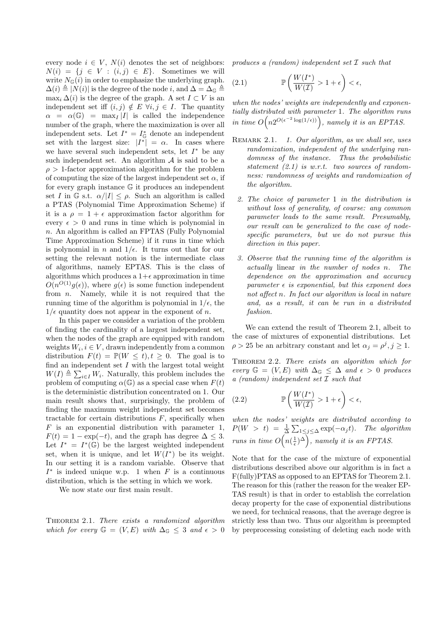every node  $i \in V$ ,  $N(i)$  denotes the set of neighbors:  $N(i) = \{j \in V : (i, j) \in E\}.$  Sometimes we will write  $N_{\mathbb{G}}(i)$  in order to emphasize the underlying graph.  $\Delta(i) \triangleq |N(i)|$  is the degree of the node i, and  $\Delta = \Delta_{\mathbb{G}} \triangleq$  $\max_i \Delta(i)$  is the degree of the graph. A set  $I \subset V$  is an independent set iff  $(i, j) \notin E \ \forall i, j \in I$ . The quantity  $\alpha = \alpha(\mathbb{G}) = \max_I |I|$  is called the independence number of the graph, where the maximization is over all independent sets. Let  $I^* = I^*_{\mathbb{G}}$  denote an independent set with the largest size:  $|I^*| = \alpha$ . In cases where we have several such independent sets, let  $I^*$  be any such independent set. An algorithm  $A$  is said to be a  $\rho > 1$ -factor approximation algorithm for the problem of computing the size of the largest independent set  $\alpha$ , if for every graph instance G it produces an independent set I in G s.t.  $\alpha/|I| \leq \rho$ . Such an algorithm is called a PTAS (Polynomial Time Approximation Scheme) if it is a  $\rho = 1 + \epsilon$  approximation factor algorithm for every  $\epsilon > 0$  and runs in time which is polynomial in n. An algorithm is called an FPTAS (Fully Polynomial Time Approximation Scheme) if it runs in time which is polynomial in n and  $1/\epsilon$ . It turns out that for our setting the relevant notion is the intermediate class of algorithms, namely EPTAS. This is the class of algorithms which produces a  $1+\epsilon$  approximation in time  $O(n^{O(1)}g(\epsilon))$ , where  $g(\epsilon)$  is some function independent from  $n$ . Namely, while it is not required that the running time of the algorithm is polynomial in  $1/\epsilon$ , the  $1/\epsilon$  quantity does not appear in the exponent of n.

In this paper we consider a variation of the problem of finding the cardinality of a largest independent set, when the nodes of the graph are equipped with random weights  $W_i, i \in V$ , drawn independently from a common distribution  $F(t) = \mathbb{P}(W \leq t), t \geq 0$ . The goal is to find an independent set  $I$  with the largest total weight  $W(I) \triangleq \sum_{i \in I} W_i$ . Naturally, this problem includes the problem of computing  $\alpha(\mathbb{G})$  as a special case when  $F(t)$ is the deterministic distribution concentrated on 1. Our main result shows that, surprisingly, the problem of finding the maximum weight independent set becomes tractable for certain distributions  $F$ , specifically when  $F$  is an exponential distribution with parameter 1,  $F(t) = 1 - \exp(-t)$ , and the graph has degree  $\Delta \leq 3$ . Let  $I^* = I^*(\mathbb{G})$  be the largest weighted independent set, when it is unique, and let  $W(I^*)$  be its weight. In our setting it is a random variable. Observe that  $I^*$  is indeed unique w.p. 1 when F is a continuous distribution, which is the setting in which we work.

We now state our first main result.

Theorem 2.1. *There exists a randomized algorithm which for every*  $\mathbb{G} = (V, E)$  *with*  $\Delta_{\mathbb{G}} \leq 3$  *and*  $\epsilon > 0$ 

*produces a (random) independent set* I *such that*

(2.1) 
$$
\mathbb{P}\left(\frac{W(I^*)}{W(\mathcal{I})} > 1 + \epsilon\right) < \epsilon,
$$

*when the nodes' weights are independently and exponentially distributed with parameter* 1*. The algorithm runs* in time  $O(n2^{O(\epsilon^{-2}\log(1/\epsilon))})$ , namely it is an EPTAS.

- Remark 2.1. *1. Our algorithm, as we shall see, uses randomization, independent of the underlying randomness of the instance. Thus the probabilistic statement (2.1) is w.r.t. two sources of randomness: randomness of weights and randomization of the algorithm.*
	- *2. The choice of parameter* 1 *in the distribution is without loss of generality, of course: any common parameter leads to the same result. Presumably, our result can be generalized to the case of nodespecific parameters, but we do not pursue this direction in this paper.*
	- *3. Observe that the running time of the algorithm is actually* linear *in the number of nodes* n*. The dependence on the approximation and accuracy*  $parameter \epsilon$  *is exponential, but this exponent does not affect* n*. In fact our algorithm is local in nature and, as a result, it can be run in a distributed fashion.*

We can extend the result of Theorem 2.1, albeit to the case of mixtures of exponential distributions. Let  $\rho > 25$  be an arbitrary constant and let  $\alpha_j = \rho^j, j \ge 1$ .

Theorem 2.2. *There exists an algorithm which for every*  $\mathbb{G} = (V, E)$  *with*  $\Delta_{\mathbb{G}} \leq \Delta$  *and*  $\epsilon > 0$  *produces a (random) independent set* I *such that*

(2.2) 
$$
\mathbb{P}\left(\frac{W(I^*)}{W(\mathcal{I})} > 1 + \epsilon\right) < \epsilon,
$$

*when the nodes' weights are distributed according to*  $P(W > t) = \frac{1}{\Delta} \sum_{1 \leq j \leq \Delta} \exp(-\alpha_j t)$ . The algorithm *runs in time*  $O\left(n(\frac{1}{\epsilon})^{\Delta}\right)$ , *namely it is an FPTAS.* 

Note that for the case of the mixture of exponential distributions described above our algorithm is in fact a F(fully)PTAS as opposed to an EPTAS for Theorem 2.1. The reason for this (rather the reason for the weaker EP-TAS result) is that in order to establish the correlation decay property for the case of exponential distributions we need, for technical reasons, that the average degree is strictly less than two. Thus our algorithm is preempted by preprocessing consisting of deleting each node with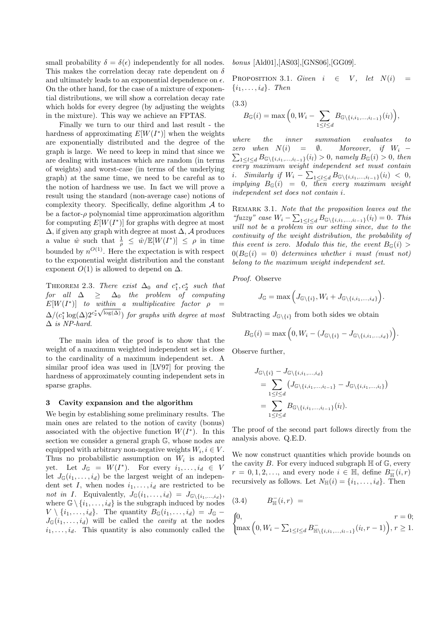small probability  $\delta = \delta(\epsilon)$  independently for all nodes. This makes the correlation decay rate dependent on  $\delta$ and ultimately leads to an exponential dependence on  $\epsilon$ . On the other hand, for the case of a mixture of exponential distributions, we will show a correlation decay rate which holds for every degree (by adjusting the weights in the mixture). This way we achieve an FPTAS.

Finally we turn to our third and last result - the hardness of approximating  $E[W(I^*)]$  when the weights are exponentially distributed and the degree of the graph is large. We need to keep in mind that since we are dealing with instances which are random (in terms of weights) and worst-case (in terms of the underlying graph) at the same time, we need to be careful as to the notion of hardness we use. In fact we will prove a result using the standard (non-average case) notions of complexity theory. Specifically, define algorithm  $A$  to be a factor- $\rho$  polynomial time approximation algorithm for computing  $E[W(I^*)]$  for graphs with degree at most  $\Delta$ , if given any graph with degree at most  $\Delta$ , A produces a value  $\hat{w}$  such that  $\frac{1}{\rho} \leq \hat{w}/\mathbb{E}[W(I^*)] \leq \rho$  in time bounded by  $n^{O(1)}$ . Here the expectation is with respect to the exponential weight distribution and the constant exponent  $O(1)$  is allowed to depend on  $\Delta$ .

THEOREM 2.3. *There exist*  $\Delta_0$  *and*  $c_1^*, c_2^*$  *such that*  $for \quad all \quad \Delta \quad \geq \quad \Delta_0 \quad the \quad problem \quad of \quad computing$  $E[W(I^*)]$  to within a multiplicative factor  $\rho =$  $\Delta/(c_1^* \log(\Delta) 2^{c_2^* \sqrt{\log(\Delta)}})$  *for graphs with degree at most* ∆ *is NP-hard.*

The main idea of the proof is to show that the weight of a maximum weighted independent set is close to the cardinality of a maximum independent set. A similar proof idea was used in [LV97] for proving the hardness of approximately counting independent sets in sparse graphs.

#### 3 Cavity expansion and the algorithm

We begin by establishing some preliminary results. The main ones are related to the notion of cavity (bonus) associated with the objective function  $W(I^*)$ . In this section we consider a general graph G, whose nodes are equipped with arbitrary non-negative weights  $W_i, i \in V$ . Thus no probabilistic assumption on  $W_i$  is adopted yet. Let  $J_{\mathbb{G}} = W(I^*)$ . For every  $i_1, \ldots, i_d \in V$ let  $J_{\mathbb{G}}(i_1,\ldots,i_d)$  be the largest weight of an independent set I, when nodes  $i_1, \ldots, i_d$  are restricted to be *not in I.* Equivalently,  $J_{\mathbb{G}}(i_1,\ldots,i_d) = J_{\mathbb{G}\backslash\{i_1,\ldots,i_d\}},$ where  $\mathbb{G} \setminus \{i_1, \ldots, i_d\}$  is the subgraph induced by nodes  $V \setminus \{i_1, \ldots, i_d\}$ . The quantity  $B_{\mathbb{G}}(i_1, \ldots, i_d) = J_{\mathbb{G}}$  $J_{\mathbb{G}}(i_1,\ldots,i_d)$  will be called the *cavity* at the nodes  $i_1, \ldots, i_d$ . This quantity is also commonly called the *bonus* [Ald01],[AS03],[GNS06],[GG09].

PROPOSITION 3.1. *Given*  $i \in V$ , *let*  $N(i)$  $\{i_1, \ldots, i_d\}$ *. Then* 

(3.3)

$$
B_{\mathbb{G}}(i) = \max\Big(0, W_i - \sum_{1 \leq l \leq d} B_{\mathbb{G}\backslash \{i, i_1, ..., i_{l-1}\}}(i_l)\Big),\,
$$

*where the inner summation evaluates to zero when*  $\sum_{1 \leq l \leq d} B_{\mathbb{G} \setminus \{i, i_1, ..., i_{l-1}\}}(i_l) > 0$ , namely  $B_{\mathbb{G}}(i) > 0$ , then  $= \emptyset$ *. Moreover, if*  $W_i$  − *every maximum weight independent set must contain i.* Similarly if  $W_i - \sum_{1 \leq l \leq d} B_{\mathbb{G}\backslash \{i,i_1,\ldots,i_{l-1}\}}(i_l) < 0,$ <br> *implying*  $B_{\mathbb{G}}(i) = 0$ , then every maximum weight *independent set does not contain* i*.*

Remark 3.1. *Note that the proposition leaves out the "fuzzy" case*  $W_i - \sum_{1 \leq l \leq d} B_{\mathbb{G}\backslash \{i, i_1, ..., i_{l-1}\}}(i_l) = 0$ . This will not be a problem in our setting since, due to the *continuity of the weight distribution, the probability of this event is zero.* Modulo this tie, the event  $B_{\mathbb{G}}(i)$  $0(B_{\mathbb{G}}(i) = 0)$  determines whether i must (must not) *belong to the maximum weight independent set.*

*Proof.* Observe

$$
J_{\mathbb{G}} = \max\Big(J_{\mathbb{G}\backslash\{i\}},W_i + J_{\mathbb{G}\backslash\{i,i_1,\ldots,i_d\}}\Big).
$$

Subtracting  $J_{\mathbb{G}\backslash\{i\}}$  from both sides we obtain

$$
B_{\mathbb{G}}(i) = \max\Big(0, W_i - (J_{\mathbb{G}\setminus\{i\}} - J_{\mathbb{G}\setminus\{i,i_1,\ldots,i_d\}})\Big).
$$

Observe further,

$$
J_{\mathbb{G}\backslash\{i\}} - J_{\mathbb{G}\backslash\{i,i_1,\ldots,i_d\}}= \sum_{1 \leq l \leq d} (J_{\mathbb{G}\backslash\{i,i_1,\ldots,i_{l-1}\}} - J_{\mathbb{G}\backslash\{i,i_1,\ldots,i_l\}})= \sum_{1 \leq l \leq d} B_{\mathbb{G}\backslash\{i,i_1,\ldots,i_{l-1}\}}(i_l).
$$

The proof of the second part follows directly from the analysis above. Q.E.D.

We now construct quantities which provide bounds on the cavity  $B$ . For every induced subgraph  $\mathbb H$  of  $\mathbb G$ , every  $r = 0, 1, 2, \ldots$ , and every node  $i \in \mathbb{H}$ , define  $B_{\mathbb{H}}^-(i, r)$ recursively as follows. Let  $N_{\mathbb{H}}(i) = \{i_1, \ldots, i_d\}$ . Then

(3.4) 
$$
B_{\mathbb{H}}^-(i, r) =
$$
  

$$
\begin{cases} 0, & r = 0; \\ \max\left(0, W_i - \sum_{1 \le l \le d} B_{\mathbb{H}\setminus\{i, i_1, ..., i_{l-1}\}}^-(i_l, r - 1)\right), & r \ge 1. \end{cases}
$$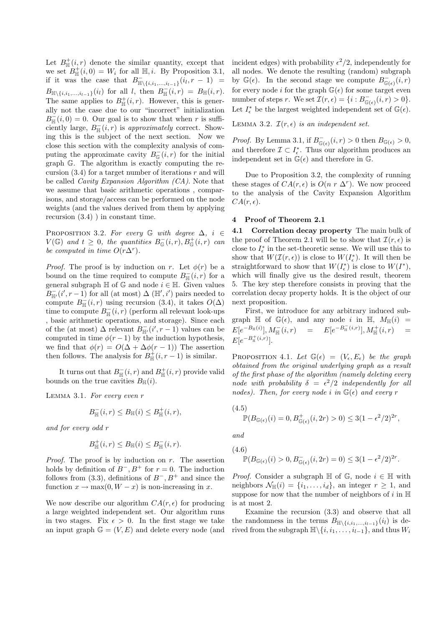Let  $B_{\mathbb{H}}^{+}(i,r)$  denote the similar quantity, except that we set  $B_{\mathbb{H}}^+(i,0) = W_i$  for all  $\mathbb{H}, i$ . By Proposition 3.1, if it was the case that  $B_{\mathbb{H}\setminus\{i,i_1,...,i_{l-1}\}}^{-}(i_l, r-1) =$  $B_{\mathbb{H}\setminus\{i,i_1,...,i_{l-1}\}}(i_l)$  for all l, then  $B_{\mathbb{H}}^-(i,r) = B_{\mathbb{H}}(i,r)$ . The same applies to  $B_{\mathbb{H}}^+(i,r)$ . However, this is generally not the case due to our "incorrect" initialization  $B_{\mathbb{H}}^-(i,0) = 0$ . Our goal is to show that when r is sufficiently large,  $B_{\mathbb{H}}^-(i,r)$  is *approximately* correct. Showing this is the subject of the next section. Now we close this section with the complexity analysis of computing the approximate cavity  $B_{\mathbb{G}}^-(i,r)$  for the initial graph G. The algorithm is exactly computing the recursion  $(3.4)$  for a target number of iterations r and will be called *Cavity Expansion Algorithm (CA)*. Note that we assume that basic arithmetic operations , comparisons, and storage/access can be performed on the node weights (and the values derived from them by applying recursion (3.4) ) in constant time.

PROPOSITION 3.2. For every  $\mathbb G$  with degree  $\Delta$ ,  $i \in$  $V(\mathbb{G})$  and  $t \geq 0$ , the quantities  $B_{\mathbb{G}}^-(i,r), B_{\mathbb{G}}^+(i,r)$  can *be computed in time*  $O(r\Delta^r)$ *.* 

*Proof.* The proof is by induction on r. Let  $\phi(r)$  be a bound on the time required to compute  $B_{\mathbb{H}}^-(i,r)$  for a general subgraph  $\mathbb H$  of  $\mathbb G$  and node  $i \in \mathbb H$ . Given values  $B_{\mathbb{H}'}^-(i',r-1)$  for all (at most)  $\Delta \left( \mathbb{H}',i' \right)$  pairs needed to compute  $B_{\mathbb{H}}^-(i,r)$  using recursion (3.4), it takes  $O(\Delta)$ time to compute  $B_{\mathbb{H}}^-(i,r)$  (perform all relevant look-ups , basic arithmetic operations, and storage). Since each of the (at most)  $\Delta$  relevant  $B_{\mathbb{H}'}^-(i',r-1)$  values can be computed in time  $\phi(r-1)$  by the induction hypothesis, we find that  $\phi(r) = O(\Delta + \Delta\phi(r-1))$  The assertion then follows. The analysis for  $B_{\mathbb{H}}^+(i, r-1)$  is similar.

It turns out that  $B_{\mathbb{H}}^-(i,r)$  and  $B_{\mathbb{H}}^+(i,r)$  provide valid bounds on the true cavities  $B_{\mathbb{H}}(i)$ .

Lemma 3.1. *For every even* r

$$
B_{\mathbb{H}}^-(i,r) \leq B_{\mathbb{H}}(i) \leq B_{\mathbb{H}}^+(i,r),
$$

*and for every odd* r

$$
B_{\mathbb{H}}^{+}(i,r) \leq B_{\mathbb{H}}(i) \leq B_{\mathbb{H}}^{-}(i,r).
$$

*Proof.* The proof is by induction on r. The assertion holds by definition of  $B^-$ ,  $B^+$  for  $r = 0$ . The induction follows from (3.3), definitions of  $B^-, B^+$  and since the function  $x \to \max(0, W - x)$  is non-increasing in x.

We now describe our algorithm  $CA(r, \epsilon)$  for producing a large weighted independent set. Our algorithm runs in two stages. Fix  $\epsilon > 0$ . In the first stage we take an input graph  $\mathbb{G} = (V, E)$  and delete every node (and

incident edges) with probability  $\epsilon^2/2$ , independently for all nodes. We denote the resulting (random) subgraph by  $\mathbb{G}(\epsilon)$ . In the second stage we compute  $B_{\mathbb{G}(\epsilon)}^-(i,r)$ for every node i for the graph  $\mathbb{G}(\epsilon)$  for some target even number of steps r. We set  $\mathcal{I}(r,\epsilon) = \{i : B_{\mathbb{G}(\epsilon)}^-(i,r) > 0\}.$ Let  $I_{\epsilon}^*$  be the largest weighted independent set of  $\mathbb{G}(\epsilon)$ .

LEMMA 3.2.  $\mathcal{I}(r, \epsilon)$  *is an independent set.* 

*Proof.* By Lemma 3.1, if  $B_{\mathbb{G}(\epsilon)}^-(i, r) > 0$  then  $B_{\mathbb{G}(\epsilon)} > 0$ , and therefore  $\mathcal{I} \subset I_{\epsilon}^*$ . Thus our algorithm produces an independent set in  $\mathbb{G}(\epsilon)$  and therefore in  $\mathbb{G}$ .

Due to Proposition 3.2, the complexity of running these stages of  $CA(r, \epsilon)$  is  $O(n r \Delta^r)$ . We now proceed to the analysis of the Cavity Expansion Algorithm  $CA(r, \epsilon).$ 

#### 4 Proof of Theorem 2.1

4.1 Correlation decay property The main bulk of the proof of Theorem 2.1 will be to show that  $\mathcal{I}(r, \epsilon)$  is close to  $I_{\epsilon}^*$  in the set-theoretic sense. We will use this to show that  $W(\mathcal{I}(r,\epsilon))$  is close to  $W(I^*_{\epsilon})$ . It will then be straightforward to show that  $W(I_{\epsilon}^*)$  is close to  $W(I^*)$ , which will finally give us the desired result, theorem 5. The key step therefore consists in proving that the correlation decay property holds. It is the object of our next proposition.

First, we introduce for any arbitrary induced subgraph  $\mathbb H$  of  $\mathbb G(\epsilon)$ , and any node i in  $\mathbb H$ ,  $M_{\mathbb H}(i)$  =  $E[e^{-B_{\mathbb{H}}(i)}], M_{\mathbb{H}}^-(i,r)$  =  $E[e^{-B_{\mathbb{H}}^-(i,r)}], M_{\mathbb{H}}^+(i,r)$  =  $E[e^{-B_{\mathbb{H}}^{+}(i,r)}].$ 

PROPOSITION 4.1. Let  $\mathbb{G}(\epsilon) = (V_{\epsilon}, E_{\epsilon})$  be the graph *obtained from the original underlying graph as a result of the first phase of the algorithm (namely deleting every node with probability*  $\delta = \epsilon^2/2$  *independently for all nodes). Then, for every node i in*  $\mathbb{G}(\epsilon)$  *and every* r

$$
(4.5) \mathbb{P}(B_{\mathbb{G}(\epsilon)}(i) = 0, B^+_{\mathbb{G}(\epsilon)}(i, 2r) > 0) \le 3(1 - \epsilon^2/2)^{2r},
$$

*and*

$$
(4.6) \quad \mathbb{P}(B_{\mathbb{G}(\epsilon)}(i) > 0, B_{\mathbb{G}(\epsilon)}^-(i, 2r) = 0) \le 3(1 - \epsilon^2/2)^{2r}.
$$

*Proof.* Consider a subgraph  $\mathbb H$  of  $\mathbb G$ , node  $i \in \mathbb H$  with neighbors  $\mathcal{N}_{\mathbb{H}}(i) = \{i_1, \ldots, i_d\}$ , an integer  $r \geq 1$ , and suppose for now that the number of neighbors of i in  $\mathbb H$ is at most 2.

Examine the recursion (3.3) and observe that all the randomness in the terms  $B_{\mathbb{H}\backslash\{i,i_1,\ldots,i_{l-1}\}}(i_l)$  is derived from the subgraph  $\mathbb{H}\backslash\{i, i_1, \ldots, i_{l-1}\}\$ , and thus  $W_i$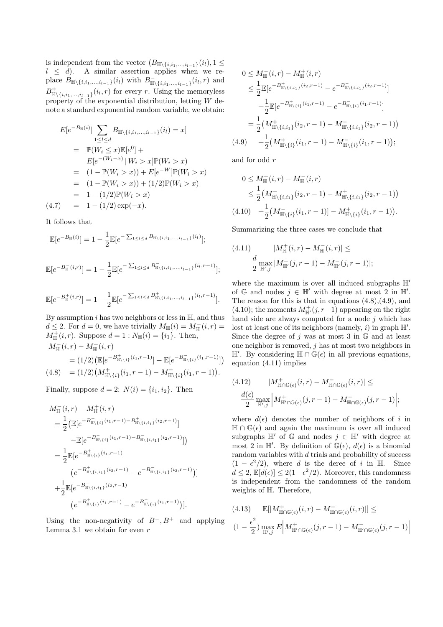is independent from the vector  $(B_{\mathbb{H}\backslash\{i,i_1,\ldots,i_{l-1}\}}(i_l), 1 \leq$  $l \leq d$ ). A similar assertion applies when we replace  $B_{\mathbb{H}\setminus\{i,i_1,...,i_{l-1}\}}(i_l)$  with  $B_{\mathbb{H}\setminus\{i,i_1,...,i_{l-1}\}}(i_l,r)$  and  $B^+_{\mathbb{H}\setminus\{i,i_1,\ldots,i_{l-1}\}}(i_l,r)$  for every r. Using the memoryless property of the exponential distribution, letting  $W$  denote a standard exponential random variable, we obtain:

$$
E[e^{-B_{\mathbb{H}}(i)}| \sum_{1 \leq l \leq d} B_{\mathbb{H}\backslash \{i, i_1, \dots, i_{l-1}\}}(i_l) = x]
$$
  
=  $\mathbb{P}(W_i \leq x) \mathbb{E}[e^0] +$   
 $E[e^{-(W_i - x)} | W_i > x] \mathbb{P}(W_i > x)$   
=  $(1 - \mathbb{P}(W_i > x)) + E[e^{-W}] \mathbb{P}(W_i > x)$   
=  $(1 - \mathbb{P}(W_i > x)) + (1/2) \mathbb{P}(W_i > x)$   
=  $1 - (1/2) \mathbb{P}(W_i > x)$   
(4.7) =  $1 - (1/2) \exp(-x)$ .

It follows that

$$
\mathbb{E}[e^{-B_{\mathbb{H}}(i)}] = 1 - \frac{1}{2} \mathbb{E}[e^{-\sum_{1 \leq l \leq d} B_{\mathbb{H}\setminus \{i, i_1, \ldots, i_{l-1}\}}(i_l)}];
$$

$$
\mathbb{E}[e^{-B_{\mathbb{H}}^{-}(i,r)}] = 1 - \frac{1}{2} \mathbb{E}[e^{-\sum_{1 \leq l \leq d} B_{\mathbb{H}\backslash\{i,i_1,\ldots,i_{l-1}\}}^{-}(i_l,r-1)}];
$$

$$
\mathbb{E}[e^{-B_{\mathbb{H}}^{+}(i,r)}] = 1 - \frac{1}{2} \mathbb{E}[e^{-\sum_{1 \leq l \leq d} B_{\mathbb{H}\backslash\{i,i_1,\ldots,i_{l-1}\}}^{+}(i_l,r-1)}].
$$

By assumption  $i$  has two neighbors or less in  $H$ , and thus  $d \leq 2$ . For  $d = 0$ , we have trivially  $M_{\mathbb{H}}(i) = M_{\mathbb{H}}^-(i, r) =$  $M_{\mathbb{H}}^{+}(i, r)$ . Suppose  $d = 1 : N_{\mathbb{H}}(i) = \{i_1\}$ . Then,  $M_{\mathbb{H}}^-(i,r) - M_{\mathbb{H}}^+(i,r)$ + −

$$
= (1/2) \left( \mathbb{E} \left[ e^{-B_{\mathbb{H}\backslash \{i\}}^{+}(i_1, r-1)} \right] - \mathbb{E} \left[ e^{-B_{\mathbb{H}\backslash \{i\}}^{+}(i_1, r-1)} \right] \right)
$$
  
(4.8) =  $(1/2) \left( M_{\mathbb{H}\backslash \{i\}}^{+}(i_1, r-1) - M_{\mathbb{H}\backslash \{i\}}^{-}(i_1, r-1) \right).$ 

Finally, suppose  $d = 2$ :  $N(i) = \{i_1, i_2\}$ . Then

$$
M_{\mathbb{H}}^{-}(i,r) - M_{\mathbb{H}}^{+}(i,r)
$$
  
= 
$$
\frac{1}{2} (\mathbb{E}[e^{-B_{\mathbb{H}\backslash\{i\}}^{-}(i_{1},r-1)-B_{\mathbb{H}\backslash\{i,i_{1}\}}^{+}(i_{2},r-1)}]
$$
  

$$
-\mathbb{E}[e^{-B_{\mathbb{H}\backslash\{i\}}^{-}(i_{1},r-1)-B_{\mathbb{H}\backslash\{i,i_{1}\}}^{-}(i_{2},r-1)}])
$$
  
= 
$$
\frac{1}{2} \mathbb{E}[e^{-B_{\mathbb{H}\backslash\{i\}}^{+}(i_{1},r-1)}]
$$
  

$$
(e^{-B_{\mathbb{H}\backslash\{i,i_{1}\}}^{+}(i_{2},r-1)} - e^{-B_{\mathbb{H}\backslash\{i,i_{1}\}}^{-}(i_{2},r-1)})]
$$
  
+ 
$$
\frac{1}{2} \mathbb{E}[e^{-B_{\mathbb{H}\backslash\{i,i_{1}\}}^{-}(i_{2},r-1)}]
$$
  

$$
(e^{-B_{\mathbb{H}\backslash\{i\}}^{+}(i_{1},r-1)} - e^{-B_{\mathbb{H}\backslash\{i\}}^{-}(i_{1},r-1)})].
$$

Using the non-negativity of  $B^-, B^+$  and applying Lemma 3.1 we obtain for even  $r$ 

$$
0 \leq M_{\mathbb{H}}^{-}(i,r) - M_{\mathbb{H}}^{+}(i,r)
$$
  
\n
$$
\leq \frac{1}{2} \mathbb{E} \left[ e^{-B_{\mathbb{H}\backslash \{i,i\}}}^{+}(i_{2},r-1)} - e^{-B_{\mathbb{H}\backslash \{i,i\}}}^{+}(i_{2},r-1)} \right]
$$
  
\n
$$
+ \frac{1}{2} \mathbb{E} \left[ e^{-B_{\mathbb{H}\backslash \{i\}}}^{+}(i_{1},r-1)} - e^{-B_{\mathbb{H}\backslash \{i\}}}^{+}(i_{1},r-1)} \right]
$$
  
\n
$$
= \frac{1}{2} \left( M_{\mathbb{H}\backslash \{i,i\}}^{+}(i_{2},r-1) - M_{\mathbb{H}\backslash \{i,i\}}^{-}(i_{2},r-1) \right)
$$
  
\n
$$
(4.9) \quad + \frac{1}{2} \left( M_{\mathbb{H}\backslash \{i\}}^{+}(i_{1},r-1) - M_{\mathbb{H}\backslash \{i\}}^{-}(i_{1},r-1) \right);
$$

and for odd r

$$
0 \leq M_{\mathbb{H}}^{+}(i,r) - M_{\mathbb{H}}^{-}(i,r)
$$
  
\n
$$
\leq \frac{1}{2} (M_{\mathbb{H}\setminus\{i,i\}}^{-}(i_2,r-1) - M_{\mathbb{H}\setminus\{i,i\}}^{+}(i_2,r-1))
$$
  
\n
$$
(4.10) + \frac{1}{2} (M_{\mathbb{H}\setminus\{i\}}^{-}(i_1,r-1)) - M_{\mathbb{H}\setminus\{i\}}^{+}(i_1,r-1)).
$$

Summarizing the three cases we conclude that

$$
(4.11) \t|M_{\mathbb{H}}^{+}(i,r) - M_{\mathbb{H}}^{-}(i,r)| \leq
$$

$$
\frac{d}{2} \max_{\mathbb{H}',j} |M_{\mathbb{H}'}^{+}(j,r-1) - M_{\mathbb{H}'}^{-}(j,r-1)|;
$$

where the maximum is over all induced subgraphs  $\mathbb{H}'$ of  $\mathbb{G}$  and nodes  $j \in \mathbb{H}'$  with degree at most 2 in  $\mathbb{H}'$ . The reason for this is that in equations  $(4.8)$ , $(4.9)$ , and (4.10); the moments  $M^+_{\mathbb{H}'}(j, r-1)$  appearing on the right hand side are always computed for a node  $j$  which has lost at least one of its neighbors (namely,  $i$ ) in graph  $\mathbb{H}'$ . Since the degree of j was at most 3 in  $\mathbb G$  and at least one neighbor is removed,  $j$  has at most two neighbors in  $\mathbb{H}'$ . By considering  $\mathbb{H} \cap \mathbb{G}(\epsilon)$  in all previous equations, equation (4.11) implies

$$
(4.12) \qquad |M^+_{\mathbb{H}\cap\mathbb{G}(\epsilon)}(i,r) - M^-_{\mathbb{H}\cap\mathbb{G}(\epsilon)}(i,r)| \le
$$
  

$$
\frac{d(\epsilon)}{2} \max_{\mathbb{H}',j} \left| M^+_{\mathbb{H}'\cap\mathbb{G}(\epsilon)}(j,r-1) - M^-_{\mathbb{H}\cap\mathbb{G}(\epsilon)}(j,r-1) \right|;
$$

where  $d(\epsilon)$  denotes the number of neighbors of i in  $\mathbb{H} \cap \mathbb{G}(\epsilon)$  and again the maximum is over all induced subgraphs  $\mathbb{H}'$  of  $\mathbb{G}$  and nodes  $j \in \mathbb{H}'$  with degree at most 2 in  $\mathbb{H}'$ . By definition of  $\mathbb{G}(\epsilon)$ ,  $d(\epsilon)$  is a binomial random variables with  $d$  trials and probability of success  $(1 - \epsilon^2/2)$ , where d is the deree of i in H. Since  $d \leq 2$ ,  $\mathbb{E}[d(\epsilon)] \leq 2(1 - \epsilon^2/2)$ . Moreover, this randomness is independent from the randomness of the random weights of H. Therefore,

$$
(4.13) \quad \mathbb{E}[|M^+_{\mathbb{H}\cap\mathbb{G}(\epsilon)}(i,r) - M^-_{\mathbb{H}\cap\mathbb{G}(\epsilon)}(i,r)|] \leq
$$
  

$$
(1 - \frac{\epsilon^2}{2}) \max_{\mathbb{H}',j} E\left|M^+_{\mathbb{H}'\cap\mathbb{G}(\epsilon)}(j,r-1) - M^-_{\mathbb{H}'\cap\mathbb{G}(\epsilon)}(j,r-1)\right|
$$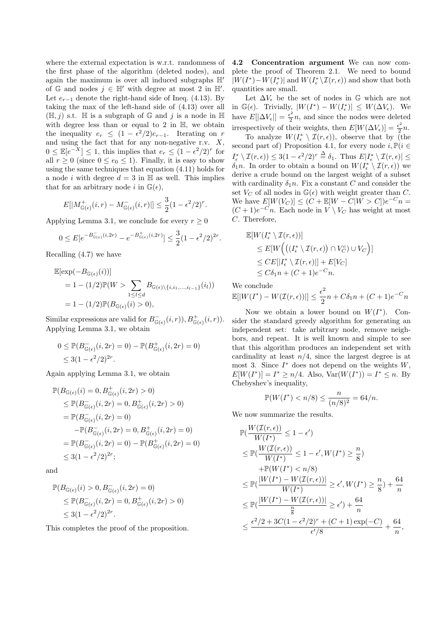where the external expectation is w.r.t. randomness of the first phase of the algorithm (deleted nodes), and again the maximum is over all induced subgraphs H′ of  $\mathbb{G}$  and nodes  $j \in \mathbb{H}'$  with degree at most 2 in  $\mathbb{H}'$ . Let  $e_{r-1}$  denote the right-hand side of Ineq. (4.13). By taking the max of the left-hand side of (4.13) over all  $(\mathbb{H}, j)$  s.t.  $\mathbb H$  is a subgraph of  $\mathbb G$  and j is a node in  $\mathbb H$ with degree less than or equal to 2 in  $\mathbb{H}$ , we obtain the inequality  $e_r \leq (1 - \epsilon^2/2)e_{r-1}$ . Iterating on r and using the fact that for any non-negative r.v.  $X$ ,  $0 \leq \mathbb{E}[e^{-X}] \leq 1$ , this implies that  $e_r \leq (1 - \epsilon^2/2)^r$  for all  $r > 0$  (since  $0 \leq e_0 \leq 1$ ). Finally, it is easy to show using the same techniques that equation  $(4.11)$  holds for a node *i* with degree  $d = 3$  in H as well. This implies that for an arbitrary node i in  $\mathbb{G}(\epsilon)$ ,

$$
E[|M^+_{\mathbb{G}(\epsilon)}(i,r) - M^-_{\mathbb{G}(\epsilon)}(i,r)|] \leq \frac{3}{2} (1 - \epsilon^2/2)^r.
$$

Applying Lemma 3.1, we conclude for every  $r \geq 0$ 

$$
0 \le E[e^{-B_{\mathbb{G}(\epsilon)}^{-}(i,2r)} - e^{-B_{\mathbb{G}(\epsilon)}^{+}(i,2r)}] \le \frac{3}{2}(1 - \epsilon^2/2)^{2r}.
$$

Recalling (4.7) we have

$$
\mathbb{E}[\exp(-B_{\mathbb{G}(\epsilon)}(i))]
$$
  
= 1 - (1/2)\mathbb{P}(W >  $\sum_{1 \le l \le d} B_{\mathbb{G}(\epsilon) \setminus \{i, i_1, \dots, i_{l-1}\}}(i_l))$   
= 1 - (1/2)\mathbb{P}(B\_{\mathbb{G}(\epsilon)}(i) > 0),

Similar expressions are valid for  $B_{\mathbb{G}(\epsilon)}^-(i,r)$ ,  $B_{\mathbb{G}(\epsilon)}^+(i,r)$ . Applying Lemma 3.1, we obtain

$$
0 \leq \mathbb{P}(B_{\mathbb{G}(\epsilon)}^-(i, 2r) = 0) - \mathbb{P}(B_{\mathbb{G}(\epsilon)}^+(i, 2r) = 0)
$$
  
\$\leq 3(1 - \epsilon^2/2)^{2r}\$.

Again applying Lemma 3.1, we obtain

$$
\mathbb{P}(B_{\mathbb{G}(\epsilon)}(i) = 0, B_{\mathbb{G}(\epsilon)}^+(i, 2r) > 0)
$$
\n
$$
\leq \mathbb{P}(B_{\mathbb{G}(\epsilon)}^-(i, 2r) = 0, B_{\mathbb{G}(\epsilon)}^+(i, 2r) > 0)
$$
\n
$$
= \mathbb{P}(B_{\mathbb{G}(\epsilon)}^-(i, 2r) = 0)
$$
\n
$$
-\mathbb{P}(B_{\mathbb{G}(\epsilon)}^-(i, 2r) = 0, B_{\mathbb{G}(\epsilon)}^+(i, 2r) = 0)
$$
\n
$$
= \mathbb{P}(B_{\mathbb{G}(\epsilon)}^-(i, 2r) = 0) - \mathbb{P}(B_{\mathbb{G}(\epsilon)}^+(i, 2r) = 0)
$$
\n
$$
\leq 3(1 - \epsilon^2/2)^{2r};
$$

and

$$
\mathbb{P}(B_{\mathbb{G}(\epsilon)}(i) > 0, B_{\mathbb{G}(\epsilon)}^-(i, 2r) = 0)
$$
  
\$\leq\$  $\mathbb{P}(B_{\mathbb{G}(\epsilon)}^-(i, 2r) = 0, B_{\mathbb{G}(\epsilon)}^+(i, 2r) > 0)$   
\$\leq\$  $3(1 - \epsilon^2/2)^{2r}$ .

This completes the proof of the proposition.

4.2 Concentration argument We can now complete the proof of Theorem 2.1. We need to bound  $|W(I^*) - W(I_{\epsilon}^*)|$  and  $W(I_{\epsilon}^* \setminus \mathcal{I}(r, \epsilon))$  and show that both quantities are small.

Let  $\Delta V_{\epsilon}$  be the set of nodes in  $\mathbb{G}$  which are not in  $\mathbb{G}(\epsilon)$ . Trivially,  $|W(I^*) - W(I_{\epsilon}^*)| \leq W(\Delta V_{\epsilon})$ . We have  $E[|\Delta V_{\epsilon}|] = \frac{\epsilon^2}{2}$  $\frac{\epsilon}{2}n$ , and since the nodes were deleted irrespectively of their weights, then  $E[W(\Delta V_{\epsilon})] = \frac{\epsilon^2}{2}$  $\frac{1}{2}n$ .

To analyze  $W(I_{\epsilon}^* \setminus \mathcal{I}(r, \epsilon))$ , observe that by (the second part of) Proposition 4.1, for every node  $i, \mathbb{P}(i \in$  $I_{\epsilon}^* \setminus \mathcal{I}(r, \epsilon) \leq 3(1 - \epsilon^2/2)^r \stackrel{\Delta}{=} \delta_1$ . Thus  $E|I_{\epsilon}^* \setminus \mathcal{I}(r, \epsilon)| \leq$  $\delta_1 n$ . In order to obtain a bound on  $W(I^*_{\epsilon} \setminus \mathcal{I}(r, \epsilon))$  we derive a crude bound on the largest weight of a subset with cardinality  $\delta_1 n$ . Fix a constant C and consider the set  $V_C$  of all nodes in  $\mathbb{G}(\epsilon)$  with weight greater than C. We have  $E[W(V_C)] \le (C + E[W - C|W > C])e^{-C}n =$  $(C+1)e^{-C}n$ . Each node in  $V \setminus V_C$  has weight at most C. Therefore,

$$
\mathbb{E}[W(I_{\epsilon}^* \setminus \mathcal{I}(r, \epsilon))]
$$
\n
$$
\leq E[W\Big(\big((I_{\epsilon}^* \setminus \mathcal{I}(r, \epsilon)) \cap V_C^c\big) \cup V_C\Big)]
$$
\n
$$
\leq C E[|I_{\epsilon}^* \setminus \mathcal{I}(r, \epsilon)|] + E[V_C]
$$
\n
$$
\leq C\delta_1 n + (C+1)e^{-C}n.
$$

We conclude  $\mathbb{E}[|W(I^*) - W(\mathcal{I}(r,\epsilon))|] \leq \frac{\epsilon^2}{2}$  $\frac{z}{2}n + C\delta_1 n + (C+1)e^{-C}n$ 

Now we obtain a lower bound on  $W(I^*)$ . Consider the standard greedy algorithm for generating an independent set: take arbitrary node, remove neighbors, and repeat. It is well known and simple to see that this algorithm produces an independent set with cardinality at least  $n/4$ , since the largest degree is at most 3. Since  $I^*$  does not depend on the weights  $W$ ,  $E[W(I^*)] = I^* \ge n/4$ . Also,  $Var(W(I^*)) = I^* \le n$ . By Chebyshev's inequality,

$$
\mathbb{P}(W(I^*) < n/8) \le \frac{n}{(n/8)^2} = 64/n.
$$

We now summarize the results.

$$
\mathbb{P}(\frac{W(\mathcal{I}(r,\epsilon))}{W(I^*)} \le 1 - \epsilon')
$$
\n
$$
\le \mathbb{P}(\frac{W(\mathcal{I}(r,\epsilon))}{W(I^*)} \le 1 - \epsilon', W(I^*) \ge \frac{n}{8})
$$
\n
$$
+ \mathbb{P}(W(I^*) < n/8)
$$
\n
$$
\le \mathbb{P}(\frac{|W(I^*) - W(\mathcal{I}(r,\epsilon))|}{W(I^*)} \ge \epsilon', W(I^*) \ge \frac{n}{8}) + \frac{64}{n}
$$
\n
$$
\le \mathbb{P}(\frac{|W(I^*) - W(\mathcal{I}(r,\epsilon))|}{\frac{n}{8}} \ge \epsilon') + \frac{64}{n}
$$
\n
$$
\le \frac{\epsilon^2/2 + 3C(1 - \epsilon^2/2)^r + (C + 1)\exp(-C)}{\epsilon'/8} + \frac{64}{n},
$$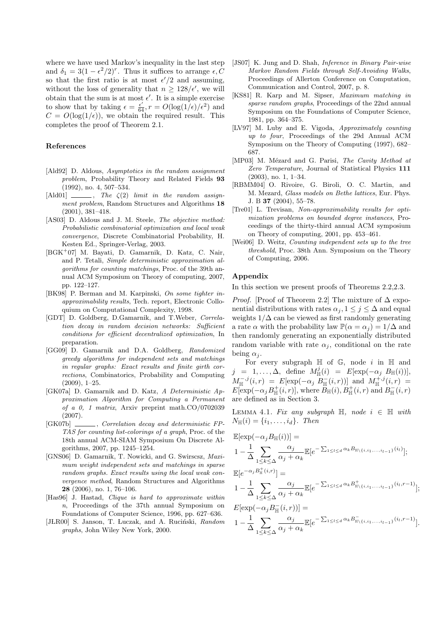where we have used Markov's inequality in the last step and  $\delta_1 = 3(1 - \epsilon^2/2)^r$ . Thus it suffices to arrange  $\epsilon$ , C so that the first ratio is at most  $\epsilon'/2$  and assuming, without the loss of generality that  $n \geq 128/\epsilon'$ , we will obtain that the sum is at most  $\epsilon'$ . It is a simple exercise to show that by taking  $\epsilon = \frac{\epsilon'}{64}$ ,  $r = O(\log(1/\epsilon)/\epsilon^2)$  and  $C = O(\log(1/\epsilon))$ , we obtain the required result. This completes the proof of Theorem 2.1.

# References

- [Ald92] D. Aldous, *Asymptotics in the random assignment problem*, Probability Theory and Related Fields 93 (1992), no. 4, 507–534.
- $\lceil \text{Ald01} \rceil$   $\qquad \qquad$ , *The*  $\zeta(2)$  *limit in the random assignment problem*, Random Structures and Algorithms 18 (2001), 381–418.
- [AS03] D. Aldous and J. M. Steele, *The objective method: Probabilistic combinatorial optimization and local weak convergence*, Discrete Combinatorial Probability, H. Kesten Ed., Springer-Verlag, 2003.
- [BGK<sup>+</sup>07] M. Bayati, D. Gamarnik, D. Katz, C. Nair, and P. Tetali, *Simple deterministic approximation algorithms for counting matchings*, Proc. of the 39th annual ACM Symposium on Theory of computing, 2007, pp. 122–127.
- [BK98] P. Berman and M. Karpinski, *On some tighter inapproximability results*, Tech. report, Electronic Colloquium on Computational Complexity, 1998.
- [GDT] D. Goldberg, D.Gamarnik, and T.Weber, *Correlation decay in random decision networks: Sufficient conditions for efficient decentralized optimization*, In preparation.
- [GG09] D. Gamarnik and D.A. Goldberg, *Randomized greedy algorithms for independent sets and matchings in regular graphs: Exact results and finite girth corrections*, Combinatorics, Probability and Computing (2009), 1–25.
- [GK07a] D. Gamarnik and D. Katz, *A Deterministic Approximation Algorithm for Computing a Permanent of a 0, 1 matrix*, Arxiv preprint math.CO/0702039 (2007).
- [GK07b] , *Correlation decay and deterministic FP-TAS for counting list-colorings of a graph*, Proc. of the 18th annual ACM-SIAM Symposium On Discrete Algorithms, 2007, pp. 1245–1254.
- [GNS06] D. Gamarnik, T. Nowicki, and G. Swirscsz, *Maximum weight independent sets and matchings in sparse random graphs. Exact results using the local weak convergence method*, Random Structures and Algorithms 28 (2006), no. 1, 76–106.
- [Has96] J. Hastad, *Clique is hard to approximate within n*, Proceedings of the 37th annual Symposium on Foundations of Computer Science, 1996, pp. 627–636.
- [JLR00] S. Janson, T. Luczak, and A. Ruciński, *Random graphs*, John Wiley New York, 2000.
- [JS07] K. Jung and D. Shah, *Inference in Binary Pair-wise Markov Random Fields through Self-Avoiding Walks*, Proceedings of Allerton Conference on Computation, Communication and Control, 2007, p. 8.
- [KS81] R. Karp and M. Sipser, *Maximum matching in sparse random graphs*, Proceedings of the 22nd annual Symposium on the Foundations of Computer Science, 1981, pp. 364–375.
- [LV97] M. Luby and E. Vigoda, *Approximately counting up to four*, Proceedings of the 29d Annual ACM Symposium on the Theory of Computing (1997), 682– 687.
- [MP03] M. Mézard and G. Parisi, *The Cavity Method at Zero Temperature*, Journal of Statistical Physics 111 (2003), no. 1, 1–34.
- [RBMM04] O. Rivoire, G. Biroli, O. C. Martin, and M. Mezard, *Glass models on Bethe lattices*, Eur. Phys. J. B 37 (2004), 55–78.
- [Tre01] L. Trevisan, *Non-approximability results for optimization problems on bounded degree instances*, Proceedings of the thirty-third annual ACM symposium on Theory of computing, 2001, pp. 453–461.
- [Wei06] D. Weitz, *Counting independent sets up to the tree threshold*, Proc. 38th Ann. Symposium on the Theory of Computing, 2006.

## Appendix

In this section we present proofs of Theorems 2.2,2.3.

*Proof.* [Proof of Theorem 2.2] The mixture of  $\Delta$  exponential distributions with rates  $\alpha_j, 1 \leq j \leq \Delta$  and equal weights  $1/\Delta$  can be viewed as first randomly generating a rate  $\alpha$  with the probability law  $\mathbb{P}(\alpha = \alpha_i) = 1/\Delta$  and then randomly generating an exponentially distributed random variable with rate  $\alpha_j$ , conditional on the rate being  $\alpha_i$ .

For every subgraph  $\mathbb H$  of  $\mathbb G$ , node i in  $\mathbb H$  and  $j = 1, \ldots, \Delta$ , define  $M_{\mathbb{H}}^{j}(i) = E[\exp(-\alpha_{j} B_{\mathbb{H}}(i))],$  $M_{\mathbb{H}}^{-,j}(i,r) = E[\exp(-\alpha_j B_{\mathbb{H}}^{-}(i,r))]$  and  $M_{\mathbb{H}}^{+,j}(i,r) =$  $E[\exp(-\alpha_j B_{\mathbb H}^+(i,r)],$  where  $B_{\mathbb H}(i), B_{\mathbb H}^+(i,r)$  and  $B_{\mathbb H}^-(i,r)$ are defined as in Section 3.

LEMMA 4.1. *Fix any subgraph*  $H$ , *node*  $i \in H$  *with*  $N_{\mathbb{H}}(i) = \{i_1, \ldots, i_d\}$ . Then

$$
\mathbb{E}[\exp(-\alpha_j B_{\mathbb{H}}(i))] =
$$
\n
$$
1 - \frac{1}{\Delta} \sum_{1 \le k \le \Delta} \frac{\alpha_j}{\alpha_j + \alpha_k} \mathbb{E}[e^{-\sum_{1 \le l \le d} \alpha_k B_{\mathbb{H}\backslash\{i, i_1, \ldots, i_{l-1}\}}(i_l)}];
$$
\n
$$
\mathbb{E}[e^{-\alpha_j B_{\mathbb{H}}^+(i,r)}] =
$$

$$
1 - \frac{1}{\Delta} \sum_{1 \leq k \leq \Delta} \frac{\alpha_j}{\alpha_j + \alpha_k} \mathbb{E}[e^{-\sum_{1 \leq l \leq d} \alpha_k B_{\mathbb{H}\backslash \{i, i_1, \ldots, i_{l-1}\}}^+(i_l, r-1)}];
$$

$$
E[\exp(-\alpha_j B_{\mathbb{H}}^-(i,r))] =
$$
  

$$
1 - \frac{1}{\Delta} \sum_{1 \le k \le \Delta} \frac{\alpha_j}{\alpha_j + \alpha_k} \mathbb{E}[e^{-\sum_{1 \le l \le d} \alpha_k B_{\mathbb{H}\backslash\{i,i_1,\ldots,i_{l-1}\}}(i_l,r-1)}].
$$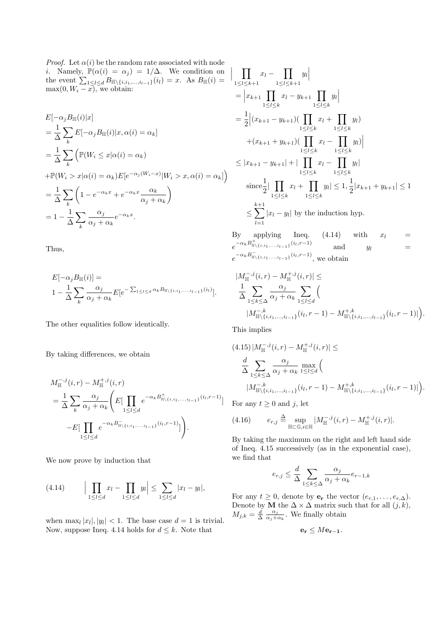*Proof.* Let  $\alpha(i)$  be the random rate associated with node *i*. Namely,  $\mathbb{P}(\alpha(i) = \alpha_j) = 1/\Delta$ . We condition on the event  $\sum_{1 \leq l \leq d} B_{\mathbb{H} \setminus \{i, i_1, \dots, i_{l-1}\}}(i_l) = x$ . As  $B_{\mathbb{H}}(i) =$  $\max(0, W_i - x)$ , we obtain:

$$
E[-\alpha_j B_{\mathbb{H}}(i)|x]
$$
  
=  $\frac{1}{\Delta} \sum_k E[-\alpha_j B_{\mathbb{H}}(i)|x, \alpha(i) = \alpha_k]$   
=  $\frac{1}{\Delta} \sum_k \left( \mathbb{P}(W_i \le x | \alpha(i) = \alpha_k) \right)$   
+  $\mathbb{P}(W_i > x | \alpha(i) = \alpha_k) E[e^{-\alpha_j (W_i - x)} | W_i > x, \alpha(i) = \alpha_k] \right)$   
=  $\frac{1}{\Delta} \sum_k \left( 1 - e^{-\alpha_k x} + e^{-\alpha_k x} \frac{\alpha_k}{\alpha_j + \alpha_k} \right)$   
=  $1 - \frac{1}{\Delta} \sum_k \frac{\alpha_j}{\alpha_j + \alpha_k} e^{-\alpha_k x}.$ 

Thus,

$$
E[-\alpha_j B_{\mathbb{H}}(i)] =
$$
  
 
$$
1 - \frac{1}{\Delta} \sum_k \frac{\alpha_j}{\alpha_j + \alpha_k} E[e^{-\sum_{1 \leq l \leq d} \alpha_k B_{\mathbb{H}\backslash\{i, i_1, \dots, i_{l-1}\}}(i_l)}].
$$

The other equalities follow identically.

By taking differences, we obtain

$$
M_{\mathbb{H}}^{-,j}(i,r) - M_{\mathbb{H}}^{+,j}(i,r)
$$
  
=  $\frac{1}{\Delta} \sum_{k} \frac{\alpha_j}{\alpha_j + \alpha_k} \left( E \left[ \prod_{1 \leq l \leq d} e^{-\alpha_k B_{\mathbb{H}\backslash \{i,i_1,\ldots,i_{l-1}\}}(i_l,r-1)} \right] \right. \\ \left. - E \left[ \prod_{1 \leq l \leq d} e^{-\alpha_k B_{\mathbb{H}\backslash \{i,i_1,\ldots,i_{l-1}\}}(i_l,r-1)} \right] \right).$ 

We now prove by induction that

(4.14) 
$$
\Big| \prod_{1 \leq l \leq d} x_l - \prod_{1 \leq l \leq d} y_l \Big| \leq \sum_{1 \leq l \leq d} |x_l - y_l|,
$$

when  $\max_l |x_l|, |y_l| < 1$ . The base case  $d = 1$  is trivial. Now, suppose Ineq. 4.14 holds for  $d \leq k$ . Note that

$$
\prod_{1 \leq l \leq k+1} x_l - \prod_{1 \leq l \leq k+1} y_l
$$
\n
$$
= \left| x_{k+1} \prod_{1 \leq l \leq k} x_l - y_{k+1} \prod_{1 \leq l \leq k} y_l \right|
$$
\n
$$
= \frac{1}{2} \left| (x_{k+1} - y_{k+1}) (\prod_{1 \leq l \leq k} x_l + \prod_{1 \leq l \leq k} y_l) \right|
$$
\n
$$
+ (x_{k+1} + y_{k+1}) (\prod_{1 \leq l \leq k} x_l - \prod_{1 \leq l \leq k} y_l) \right|
$$
\n
$$
\leq |x_{k+1} - y_{k+1}| + |\prod_{1 \leq l \leq k} x_l - \prod_{1 \leq l \leq k} y_l|
$$
\n
$$
\text{since} \frac{1}{2} |\prod_{1 \leq l \leq k} x_l + \prod_{1 \leq l \leq k} y_l| \leq 1, \frac{1}{2} |x_{k+1} + y_{k+1}| \leq 1
$$
\n
$$
\leq \sum_{l=1}^{k+1} |x_l - y_l| \text{ by the induction hyp.}
$$

By applying Ineq.  $(4.14)$  with  $x_l =$  $e^{-\alpha_k B^+_{\mathbb{H}\setminus \{i,i_1,\ldots,i_{l-1}\}}(i_l,r-1)}$  and  $y_l =$  $e^{-\alpha_k B_{\mathbb{H}\setminus \{i,i_1,\ldots,i_{l-1}\}}(i_l,r-1)},$  we obtain

$$
|M_{\mathbb{H}}^{-,j}(i,r) - M_{\mathbb{H}}^{+,j}(i,r)| \le
$$
  
\n
$$
\frac{1}{\Delta} \sum_{1 \le k \le \Delta} \frac{\alpha_j}{\alpha_j + \alpha_k} \sum_{1 \le l \le d} \left( \frac{M_{\mathbb{H}}^{-,k}}{|M_{\mathbb{H}}^{-,k}(i,i_1,\ldots,i_{l-1})}(i_l,r-1) - M_{\mathbb{H}}^{+,k}(i,i_1,\ldots,i_{l-1})}(i_l,r-1)| \right).
$$

This implies

 $\overline{\phantom{a}}$  $\overline{\phantom{a}}$  $\mid$ 

$$
(4.15) |M_{\mathbb{H}}^{-,j}(i,r) - M_{\mathbb{H}}^{+,j}(i,r)| \le
$$
  

$$
\frac{d}{\Delta} \sum_{1 \le k \le \Delta} \frac{\alpha_j}{\alpha_j + \alpha_k} \max_{1 \le l \le d} \left( \frac{M_{\mathbb{H}}^{-,k}}{|M_{\mathbb{H}}^{-,k}(i,i_1,\ldots,i_{l-1})}(i_l,r-1) - M_{\mathbb{H}}^{+,k}(i,i_1,\ldots,i_{l-1})}(i_l,r-1)| \right).
$$

For any  $t \geq 0$  and j, let

(4.16) 
$$
e_{r,j} \triangleq \sup_{\mathbb{H}\subset\mathbb{G},i\in\mathbb{H}} |M_{\mathbb{H}}^{-,j}(i,r) - M_{\mathbb{H}}^{+,j}(i,r)|.
$$

By taking the maximum on the right and left hand side of Ineq. 4.15 successively (as in the exponential case), we find that

$$
e_{r,j} \le \frac{d}{\Delta} \sum_{1 \le k \le \Delta} \frac{\alpha_j}{\alpha_j + \alpha_k} e_{r-1,k}
$$

For any  $t \geq 0$ , denote by  $\mathbf{e_r}$  the vector  $(e_{r,1}, \ldots, e_{r,\Delta})$ . Denote by **M** the  $\Delta \times \Delta$  matrix such that for all  $(j, k)$ ,  $M_{j,k} = \frac{d}{\Delta}$  $\alpha_j$  $\frac{\alpha_j}{\alpha_j+\alpha_k}$ . We finally obtain

$$
\mathbf{e_r} \leq M\mathbf{e_{r-1}}.
$$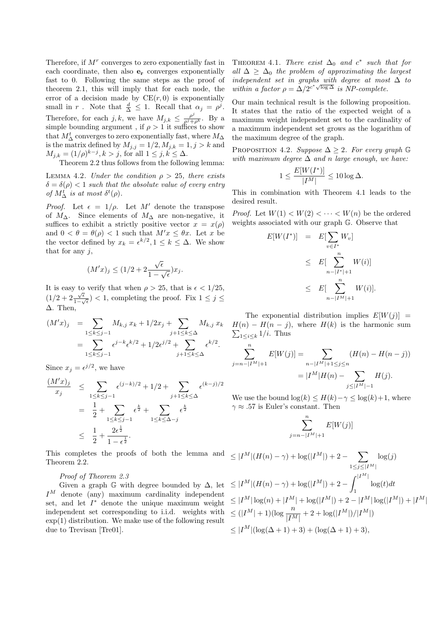Therefore, if  $M<sup>r</sup>$  converges to zero exponentially fast in each coordinate, then also  $e_r$  converges exponentially fast to 0. Following the same steps as the proof of theorem 2.1, this will imply that for each node, the error of a decision made by  $CE(r, 0)$  is exponentially small in r. Note that  $\frac{d}{\Delta} \leq 1$ . Recall that  $\alpha_j = \rho^j$ . Therefore, for each j, k, we have  $M_{j,k} \leq \frac{\rho^j}{\rho^j + \rho^k}$ . By a simple bounding argument, if  $\rho > 1$  it suffices to show that  $M^t_\Delta$  converges to zero exponentially fast, where  $M_\Delta$ is the matrix defined by  $M_{j,j} = 1/2, M_{j,k} = 1, j > k$  and  $M_{j,k} = (1/\rho)^{k-j}, k > j$ , for all  $1 \le j, k \le \Delta$ .

Theorem 2.2 thus follows from the following lemma:

LEMMA 4.2. *Under the condition*  $\rho > 25$ *, there exists*  $\delta = \delta(\rho) < 1$  *such that the absolute value of every entry of*  $M_{\Delta}^{t}$  *is at most*  $\delta^{t}(\rho)$ *.* 

*Proof.* Let  $\epsilon = 1/\rho$ . Let M' denote the transpose of  $M_\Delta$ . Since elements of  $M_\Delta$  are non-negative, it suffices to exhibit a strictly positive vector  $x = x(\rho)$ and  $0 < \theta = \theta(\rho) < 1$  such that  $M'x \leq \theta x$ . Let x be the vector defined by  $x_k = \epsilon^{k/2}, 1 \leq k \leq \Delta$ . We show that for any  $i$ ,

$$
(M'x)_j \le (1/2 + 2\frac{\sqrt{\epsilon}}{1 - \sqrt{\epsilon}})x_j.
$$

It is easy to verify that when  $\rho > 25$ , that is  $\epsilon < 1/25$ ,  $(1/2 + 2\frac{\sqrt{\epsilon}}{1-\epsilon})$  $\frac{\sqrt{\epsilon}}{1-\sqrt{\epsilon}}$  < 1, completing the proof. Fix  $1 \leq j \leq$ ∆. Then,

$$
(M'x)_j = \sum_{1 \le k \le j-1} M_{k,j} x_k + 1/2x_j + \sum_{j+1 \le k \le \Delta} M_{k,j} x_k
$$
  
= 
$$
\sum_{1 \le k \le j-1} \epsilon^{j-k} \epsilon^{k/2} + 1/2 \epsilon^{j/2} + \sum_{j+1 \le k \le \Delta} \epsilon^{k/2}.
$$

Since  $x_j = e^{j/2}$ , we have

$$
\frac{(M'x)_j}{x_j} \leq \sum_{1 \leq k \leq j-1} \epsilon^{(j-k)/2} + 1/2 + \sum_{j+1 \leq k \leq \Delta} \epsilon^{(k-j)/2}
$$

$$
= \frac{1}{2} + \sum_{1 \leq k \leq j-1} \epsilon^{\frac{k}{2}} + \sum_{1 \leq k \leq \Delta - j} \epsilon^{\frac{k}{2}}
$$

$$
\leq \frac{1}{2} + \frac{2\epsilon^{\frac{1}{2}}}{1 - \epsilon^{\frac{1}{2}}}.
$$

This completes the proofs of both the lemma and Theorem 2.2.

# *Proof of Theorem 2.3*

Given a graph  $\mathbb G$  with degree bounded by  $\Delta$ , let  $I^M$  denote (any) maximum cardinality independent set, and let  $I^*$  denote the unique maximum weight independent set corresponding to i.i.d. weights with exp(1) distribution. We make use of the following result due to Trevisan [Tre01].

THEOREM 4.1. *There exist*  $\Delta_0$  *and*  $c^*$  *such that for all*  $\Delta \geq \Delta_0$  *the problem of approximating the largest independent set in graphs with degree at most*  $\Delta$  *to* within a factor  $\rho = \Delta/2^{c^* \sqrt{\log \Delta}}$  *is NP-complete.* 

Our main technical result is the following proposition. It states that the ratio of the expected weight of a maximum weight independent set to the cardinality of a maximum independent set grows as the logarithm of the maximum degree of the graph.

PROPOSITION 4.2. *Suppose*  $\Delta \geq 2$ *. For every graph* G *with maximum degree* ∆ *and* n *large enough, we have:*

$$
1 \le \frac{E[W(I^*)]}{|I^M|} \le 10 \log \Delta.
$$

This in combination with Theorem 4.1 leads to the desired result.

*Proof.* Let  $W(1) < W(2) < \cdots < W(n)$  be the ordered weights associated with our graph G. Observe that

$$
E[W(I^*)] = E[\sum_{v \in I^*} W_v]
$$
  
\n
$$
\leq E[\sum_{n-|I^*|+1}^{n} W(i)]
$$
  
\n
$$
\leq E[\sum_{n-|I^M|+1}^{n} W(i)].
$$

The exponential distribution implies  $E[W(j)] =$  $H(n) - H(n - j)$ , where  $H(k)$  is the harmonic sum  $\sum_{1 \leq i \leq k} 1/i$ . Thus

$$
\sum_{j=n-|I^M|+1}^n E[W(j)] = \sum_{n-|I^M|+1 \le j \le n} (H(n) - H(n-j))
$$

$$
= |I^M|H(n) - \sum_{j \le |I^M| - 1} H(j).
$$

We use the bound  $\log(k) \leq H(k)-\gamma \leq \log(k)+1$ , where  $\gamma \approx .57$  is Euler's constant. Then

$$
\sum_{j=n-|I^M|+1}^n E[W(j)]
$$

$$
\leq |I^M|(H(n) - \gamma) + \log(|I^M|) + 2 - \sum_{1 \leq j \leq |I^M|} \log(j)
$$
  
\n
$$
\leq |I^M|(H(n) - \gamma) + \log(|I^M|) + 2 - \int_1^{|I^M|} \log(t)dt
$$
  
\n
$$
\leq |I^M| \log(n) + |I^M| + \log(|I^M|) + 2 - |I^M| \log(|I^M|) + |I^M|
$$
  
\n
$$
\leq (|I^M| + 1)(\log \frac{n}{|I^M|} + 2 + \log(|I^M|)/|I^M|)
$$
  
\n
$$
\leq |I^M|(\log(\Delta + 1) + 3) + (\log(\Delta + 1) + 3),
$$